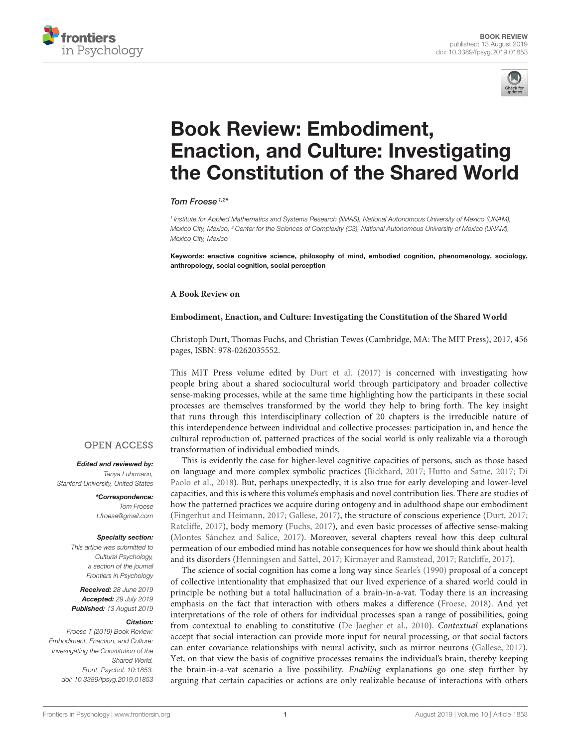



# Book Review: Embodiment, [Enaction, and Culture: Investigating](https://www.frontiersin.org/articles/10.3389/fpsyg.2019.01853/full) the Constitution of the Shared World

### [Tom Froese](http://loop.frontiersin.org/people/40939/overview)<sup> $1,2*$ </sup>

*1 Institute for Applied Mathematics and Systems Research (IIMAS), National Autonomous University of Mexico (UNAM), Mexico City, Mexico, <sup>2</sup> Center for the Sciences of Complexity (C3), National Autonomous University of Mexico (UNAM), Mexico City, Mexico*

Keywords: enactive cognitive science, philosophy of mind, embodied cognition, phenomenology, sociology, anthropology, social cognition, social perception

#### **A Book Review on**

#### **Embodiment, Enaction, and Culture: Investigating the Constitution of the Shared World**

Christoph Durt, Thomas Fuchs, and Christian Tewes (Cambridge, MA: The MIT Press), 2017, 456 pages, ISBN: 978-0262035552.

This MIT Press volume edited by [Durt et al. \(2017\)](#page-1-0) is concerned with investigating how people bring about a shared sociocultural world through participatory and broader collective sense-making processes, while at the same time highlighting how the participants in these social processes are themselves transformed by the world they help to bring forth. The key insight that runs through this interdisciplinary collection of 20 chapters is the irreducible nature of this interdependence between individual and collective processes: participation in, and hence the cultural reproduction of, patterned practices of the social world is only realizable via a thorough transformation of individual embodied minds.

This is evidently the case for higher-level cognitive capacities of persons, such as those based on language and more complex symbolic practices [\(Bickhard, 2017;](#page-1-1) [Hutto and Satne, 2017;](#page-2-0) Di Paolo et al., [2018\)](#page-1-2). But, perhaps unexpectedly, it is also true for early developing and lower-level capacities, and this is where this volume's emphasis and novel contribution lies. There are studies of how the patterned practices we acquire during ontogeny and in adulthood shape our embodiment [\(Fingerhut and Heimann, 2017;](#page-1-3) [Gallese, 2017\)](#page-2-1), the structure of conscious experience [\(Durt, 2017;](#page-1-4) [Ratcliffe, 2017\)](#page-2-2), body memory [\(Fuchs, 2017\)](#page-2-3), and even basic processes of affective sense-making [\(Montes Sánchez and Salice, 2017\)](#page-2-4). Moreover, several chapters reveal how this deep cultural permeation of our embodied mind has notable consequences for how we should think about health and its disorders [\(Henningsen and Sattel, 2017;](#page-2-5) [Kirmayer and Ramstead, 2017;](#page-2-6) [Ratcliffe, 2017\)](#page-2-2).

The science of social cognition has come a long way since [Searle's \(1990\)](#page-2-7) proposal of a concept of collective intentionality that emphasized that our lived experience of a shared world could in principle be nothing but a total hallucination of a brain-in-a-vat. Today there is an increasing emphasis on the fact that interaction with others makes a difference [\(Froese, 2018\)](#page-2-8). And yet interpretations of the role of others for individual processes span a range of possibilities, going from contextual to enabling to constitutive [\(De Jaegher et al., 2010\)](#page-1-5). Contextual explanations accept that social interaction can provide more input for neural processing, or that social factors can enter covariance relationships with neural activity, such as mirror neurons [\(Gallese, 2017\)](#page-2-1). Yet, on that view the basis of cognitive processes remains the individual's brain, thereby keeping the brain-in-a-vat scenario a live possibility. Enabling explanations go one step further by arguing that certain capacities or actions are only realizable because of interactions with others

## **OPEN ACCESS**

#### Edited and reviewed by:

*Tanya Luhrmann, Stanford University, United States*

> \*Correspondence: *Tom Froese [t.froese@gmail.com](mailto:t.froese@gmail.com)*

#### Specialty section:

*This article was submitted to Cultural Psychology, a section of the journal Frontiers in Psychology*

Received: *28 June 2019* Accepted: *29 July 2019* Published: *13 August 2019*

#### Citation:

*Froese T (2019) Book Review: Embodiment, Enaction, and Culture: Investigating the Constitution of the Shared World. Front. Psychol. 10:1853. doi: [10.3389/fpsyg.2019.01853](https://doi.org/10.3389/fpsyg.2019.01853)*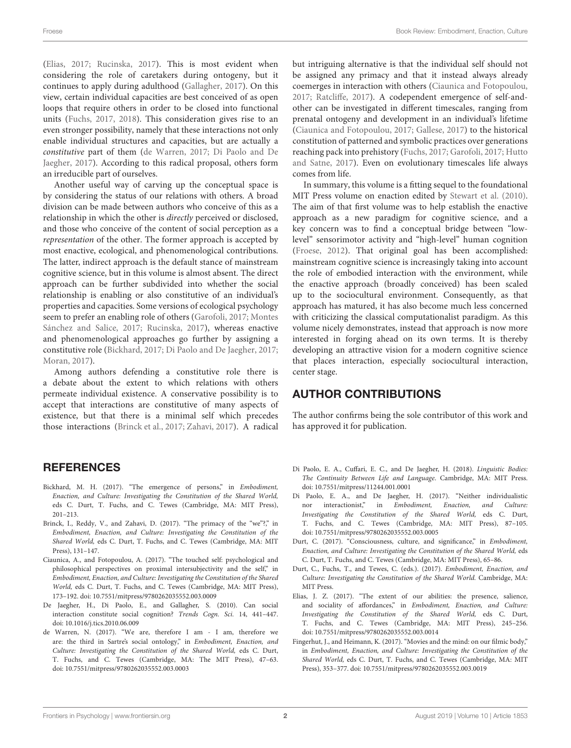[\(Elias, 2017;](#page-1-6) [Rucinska, 2017\)](#page-2-9). This is most evident when considering the role of caretakers during ontogeny, but it continues to apply during adulthood [\(Gallagher, 2017\)](#page-2-10). On this view, certain individual capacities are best conceived of as open loops that require others in order to be closed into functional units [\(Fuchs, 2017,](#page-2-3) [2018\)](#page-2-11). This consideration gives rise to an even stronger possibility, namely that these interactions not only enable individual structures and capacities, but are actually a constitutive part of them [\(de Warren, 2017;](#page-1-7) Di Paolo and De Jaegher, [2017\)](#page-1-8). According to this radical proposal, others form an irreducible part of ourselves.

Another useful way of carving up the conceptual space is by considering the status of our relations with others. A broad division can be made between authors who conceive of this as a relationship in which the other is directly perceived or disclosed, and those who conceive of the content of social perception as a representation of the other. The former approach is accepted by most enactive, ecological, and phenomenological contributions. The latter, indirect approach is the default stance of mainstream cognitive science, but in this volume is almost absent. The direct approach can be further subdivided into whether the social relationship is enabling or also constitutive of an individual's properties and capacities. Some versions of ecological psychology seem to prefer an enabling role of others [\(Garofoli, 2017;](#page-2-12) Montes Sánchez and Salice, [2017;](#page-2-4) [Rucinska, 2017\)](#page-2-9), whereas enactive and phenomenological approaches go further by assigning a constitutive role [\(Bickhard, 2017;](#page-1-1) [Di Paolo and De Jaegher, 2017;](#page-1-8) [Moran, 2017\)](#page-2-13).

Among authors defending a constitutive role there is a debate about the extent to which relations with others permeate individual existence. A conservative possibility is to accept that interactions are constitutive of many aspects of existence, but that there is a minimal self which precedes those interactions [\(Brinck et al., 2017;](#page-1-9) [Zahavi, 2017\)](#page-2-14). A radical

## **REFERENCES**

- <span id="page-1-1"></span>Bickhard, M. H. (2017). "The emergence of persons," in Embodiment, Enaction, and Culture: Investigating the Constitution of the Shared World, eds C. Durt, T. Fuchs, and C. Tewes (Cambridge, MA: MIT Press), 201–213.
- <span id="page-1-9"></span>Brinck, I., Reddy, V., and Zahavi, D. (2017). "The primacy of the "we"?," in Embodiment, Enaction, and Culture: Investigating the Constitution of the Shared World, eds C. Durt, T. Fuchs, and C. Tewes (Cambridge, MA: MIT Press), 131–147.
- <span id="page-1-10"></span>Ciaunica, A., and Fotopoulou, A. (2017). "The touched self: psychological and philosophical perspectives on proximal intersubjectivity and the self," in Embodiment, Enaction, and Culture: Investigating the Constitution of the Shared World, eds C. Durt, T. Fuchs, and C. Tewes (Cambridge, MA: MIT Press), 173–192. doi: [10.7551/mitpress/9780262035552.003.0009](https://doi.org/10.7551/mitpress/9780262035552.003.0009)
- <span id="page-1-5"></span>De Jaegher, H., Di Paolo, E., and Gallagher, S. (2010). Can social interaction constitute social cognition? Trends Cogn. Sci. 14, 441–447. doi: [10.1016/j.tics.2010.06.009](https://doi.org/10.1016/j.tics.2010.06.009)
- <span id="page-1-7"></span>de Warren, N. (2017). "We are, therefore I am - I am, therefore we are: the third in Sartre's social ontology," in Embodiment, Enaction, and Culture: Investigating the Constitution of the Shared World, eds C. Durt, T. Fuchs, and C. Tewes (Cambridge, MA: The MIT Press), 47–63. doi: [10.7551/mitpress/9780262035552.003.0003](https://doi.org/10.7551/mitpress/9780262035552.003.0003)

but intriguing alternative is that the individual self should not be assigned any primacy and that it instead always already coemerges in interaction with others [\(Ciaunica and Fotopoulou,](#page-1-10) [2017;](#page-1-10) [Ratcliffe, 2017\)](#page-2-2). A codependent emergence of self-andother can be investigated in different timescales, ranging from prenatal ontogeny and development in an individual's lifetime [\(Ciaunica and Fotopoulou, 2017;](#page-1-10) [Gallese, 2017\)](#page-2-1) to the historical constitution of patterned and symbolic practices over generations reaching pack into prehistory [\(Fuchs, 2017;](#page-2-3) [Garofoli, 2017;](#page-2-12) Hutto and Satne, [2017\)](#page-2-0). Even on evolutionary timescales life always comes from life.

In summary, this volume is a fitting sequel to the foundational MIT Press volume on enaction edited by [Stewart et al. \(2010\)](#page-2-15). The aim of that first volume was to help establish the enactive approach as a new paradigm for cognitive science, and a key concern was to find a conceptual bridge between "lowlevel" sensorimotor activity and "high-level" human cognition [\(Froese, 2012\)](#page-2-16). That original goal has been accomplished: mainstream cognitive science is increasingly taking into account the role of embodied interaction with the environment, while the enactive approach (broadly conceived) has been scaled up to the sociocultural environment. Consequently, as that approach has matured, it has also become much less concerned with criticizing the classical computationalist paradigm. As this volume nicely demonstrates, instead that approach is now more interested in forging ahead on its own terms. It is thereby developing an attractive vision for a modern cognitive science that places interaction, especially sociocultural interaction, center stage.

## AUTHOR CONTRIBUTIONS

The author confirms being the sole contributor of this work and has approved it for publication.

- <span id="page-1-2"></span>Di Paolo, E. A., Cuffari, E. C., and De Jaegher, H. (2018). Linguistic Bodies: The Continuity Between Life and Language. Cambridge, MA: MIT Press. doi: [10.7551/mitpress/11244.001.0001](https://doi.org/10.7551/mitpress/11244.001.0001)
- <span id="page-1-8"></span>Di Paolo, E. A., and De Jaegher, H. (2017). "Neither individualistic nor interactionist," in Embodiment, Enaction, and Culture: Investigating the Constitution of the Shared World, eds C. Durt, T. Fuchs, and C. Tewes (Cambridge, MA: MIT Press), 87–105. doi: [10.7551/mitpress/9780262035552.003.0005](https://doi.org/10.7551/mitpress/9780262035552.003.0005)
- <span id="page-1-4"></span>Durt, C. (2017). "Consciousness, culture, and significance," in Embodiment, Enaction, and Culture: Investigating the Constitution of the Shared World, eds C. Durt, T. Fuchs, and C. Tewes (Cambridge, MA: MIT Press), 65–86.
- <span id="page-1-0"></span>Durt, C., Fuchs, T., and Tewes, C. (eds.). (2017). Embodiment, Enaction, and Culture: Investigating the Constitution of the Shared World. Cambridge, MA: MIT Press.
- <span id="page-1-6"></span>Elias, J. Z. (2017). "The extent of our abilities: the presence, salience, and sociality of affordances," in Embodiment, Enaction, and Culture: Investigating the Constitution of the Shared World, eds C. Durt, T. Fuchs, and C. Tewes (Cambridge, MA: MIT Press), 245–256. doi: [10.7551/mitpress/9780262035552.003.0014](https://doi.org/10.7551/mitpress/9780262035552.003.0014)
- <span id="page-1-3"></span>Fingerhut, J., and Heimann, K. (2017). "Movies and the mind: on our filmic body," in Embodiment, Enaction, and Culture: Investigating the Constitution of the Shared World, eds C. Durt, T. Fuchs, and C. Tewes (Cambridge, MA: MIT Press), 353–377. doi: [10.7551/mitpress/9780262035552.003.0019](https://doi.org/10.7551/mitpress/9780262035552.003.0019)